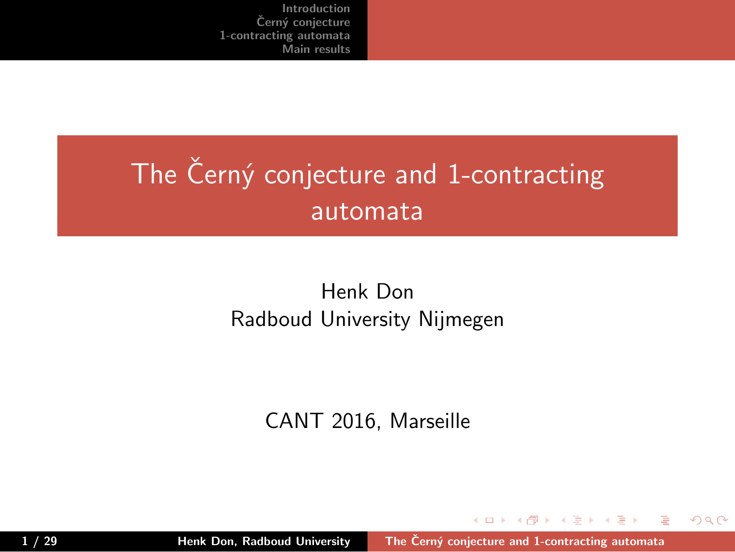# The Černý conjecture and 1-contracting automata

Henk Don Radboud University Nijmegen

CANT 2016, Marseille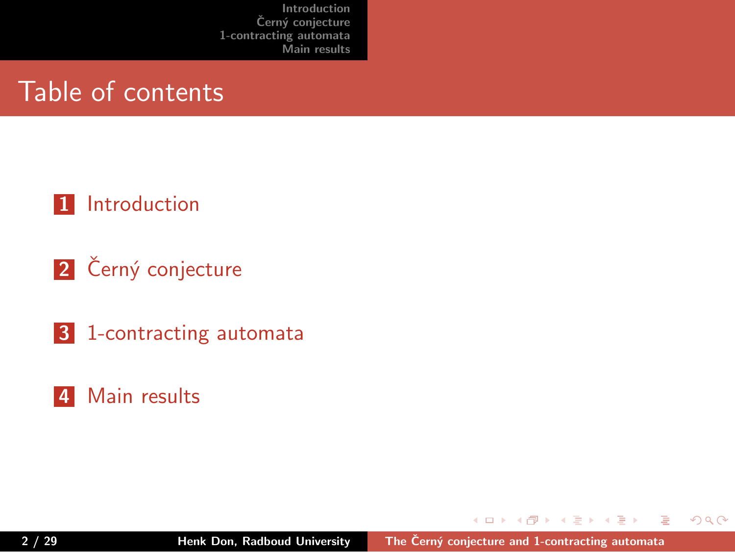Table of contents

- **1** Introduction
- **2** Černý conjecture
- **3** 1-contracting automata
- **4** Main results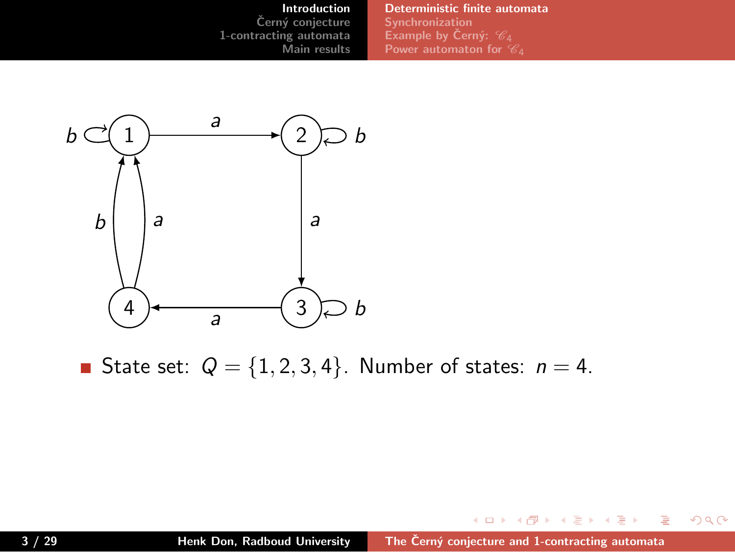**Introduction**<br>Černý conjecture<br>1-contracting automata<br>Main results **Deterministic finite automata Synchronization Example by Cern´y: ˇ** *C*<sup>4</sup> **Power automaton for** *C*4



State set:  $Q = \{1, 2, 3, 4\}$ . Number of states:  $n = 4$ .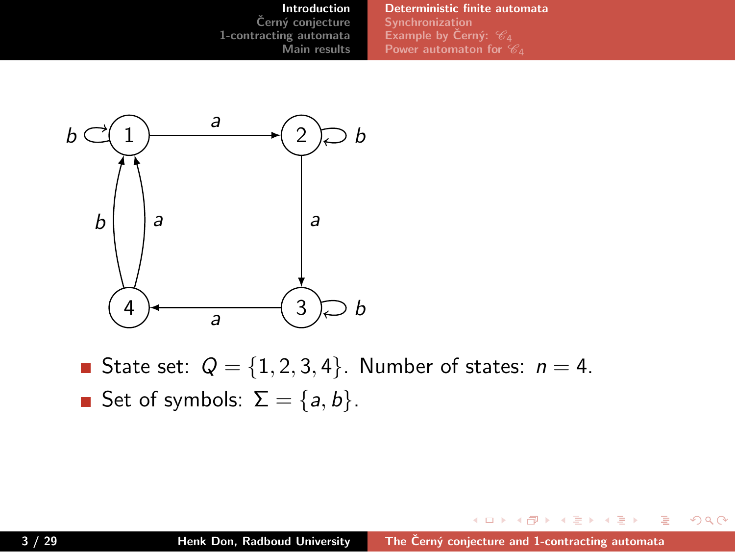**Introduction**<br>Černý conjecture<br>1-contracting automata<br>Main results **Deterministic finite automata Synchronization Power automaton for** *C*4



- State set:  $Q = \{1, 2, 3, 4\}$ . Number of states:  $n = 4$ .
- Set of symbols:  $\Sigma = \{a, b\}$ .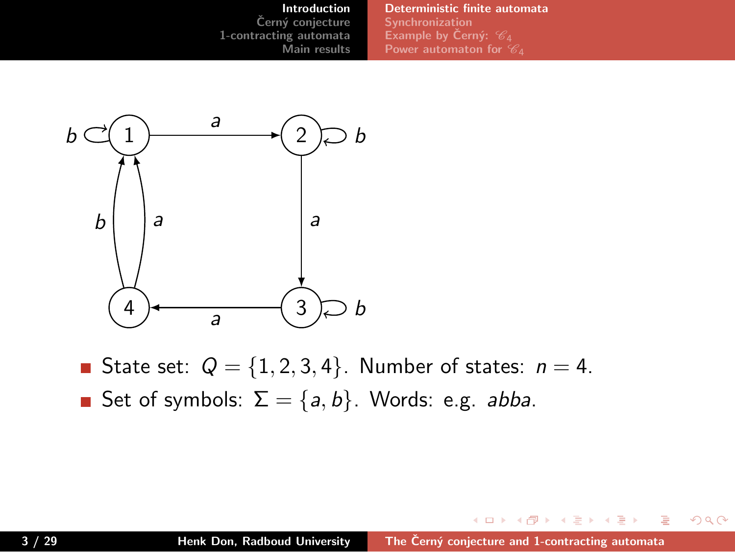**Introduction Cern´y conjecture ˇ 1-contracting automata Main results Deterministic finite automata Synchronization Power automaton for** *C*4



- State set:  $Q = \{1, 2, 3, 4\}$ . Number of states:  $n = 4$ .
- Set of symbols:  $\Sigma = \{a, b\}$ . Words: e.g. *abba*.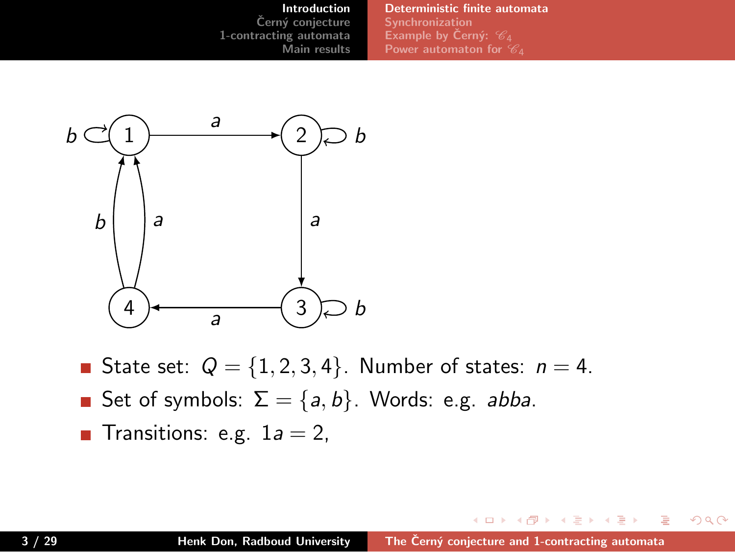#### **Introduction Cern´y conjecture ˇ 1-contracting automata Main results Deterministic finite automata Synchronization Power automaton for** *C*4



- State set:  $Q = \{1, 2, 3, 4\}$ . Number of states:  $n = 4$ .
- Set of symbols:  $\Sigma = \{a, b\}$ . Words: e.g. *abba*.
- **Transitions:** e.g.  $1a = 2$ ,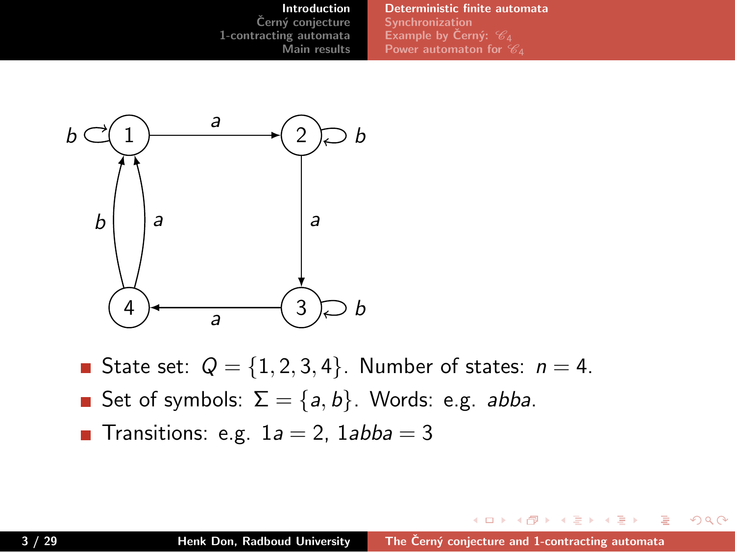#### **Introduction Cern´y conjecture ˇ 1-contracting automata Main results Deterministic finite automata Synchronization Power automaton for** *C*4



- State set:  $Q = \{1, 2, 3, 4\}$ . Number of states:  $n = 4$ .
- Set of symbols:  $\Sigma = \{a, b\}$ . Words: e.g. *abba*.
- **Transitions:** e.g.  $1a = 2$ ,  $1abba = 3$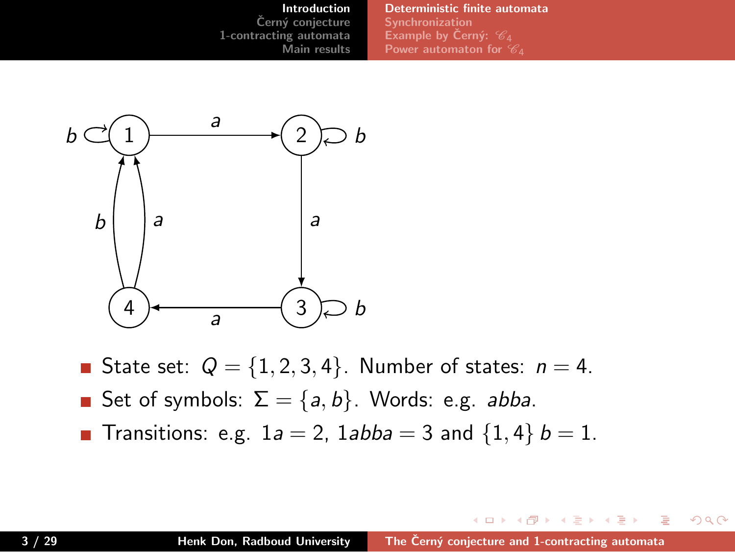#### **Introduction** Černý conjecture **1-contracting automata Main results Deterministic finite automata Synchronization Power automaton for** *C*4



- State set:  $Q = \{1, 2, 3, 4\}$ . Number of states:  $n = 4$ .
- Set of symbols:  $\Sigma = \{a, b\}$ . Words: e.g. *abba*.
- Transitions: e.g.  $1a = 2$ ,  $1abba = 3$  and  $\{1, 4\}$   $b = 1$ .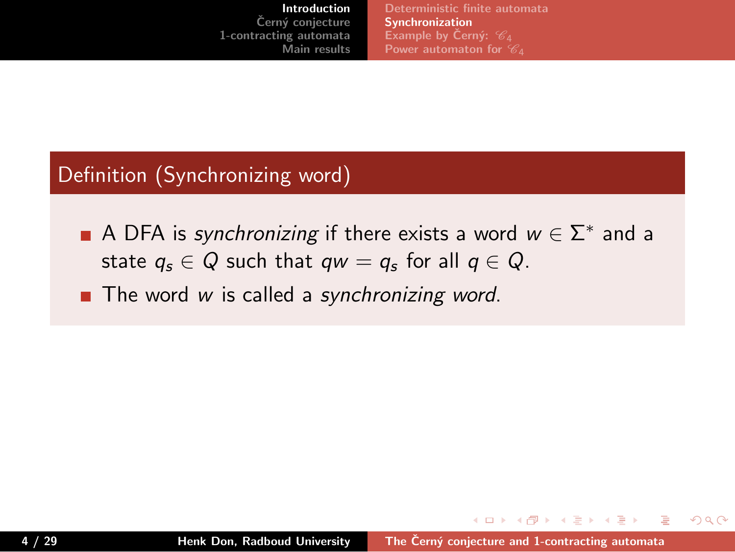**Deterministic finite automata Synchronization Power automaton for** *C*4

## Definition (Synchronizing word)

- A DFA is *synchronizing* if there exists a word *w ∈* Σ *∗* and a state  $q_s \in Q$  such that  $qw = q_s$  for all  $q \in Q$ .
- The word *w* is called a *synchronizing word*.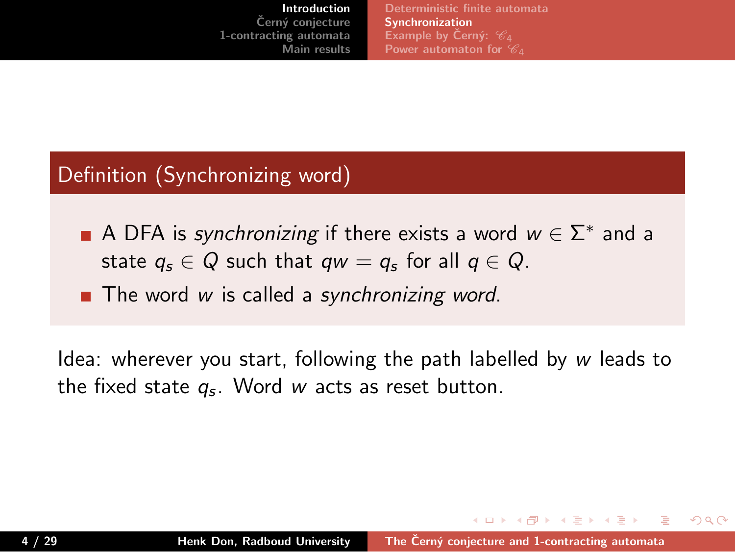**Deterministic finite automata Synchronization Power automaton for** *C*4

## Definition (Synchronizing word)

- A DFA is *synchronizing* if there exists a word *w ∈* Σ *∗* and a state  $q_s \in Q$  such that  $qw = q_s$  for all  $q \in Q$ .
- The word *w* is called a *synchronizing word*.

Idea: wherever you start, following the path labelled by *w* leads to the fixed state *q<sup>s</sup>* . Word *w* acts as reset button.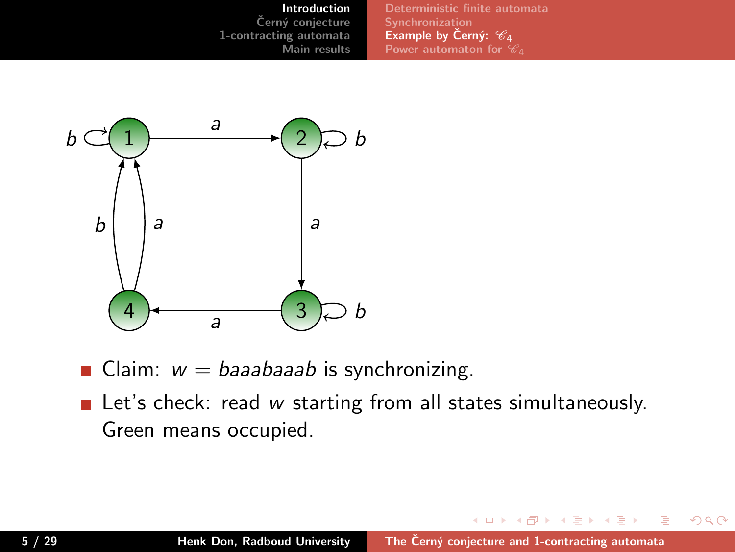**Introduction Cern´y conjecture ˇ 1-contracting automata Main results Synchronization Example by Cern´y: ˇ** *C*<sup>4</sup> **Power automaton for** *C*4



- Claim: *w* = *baaabaaab* is synchronizing.
- **E** Let's check: read *w* starting from all states simultaneously. Green means occupied.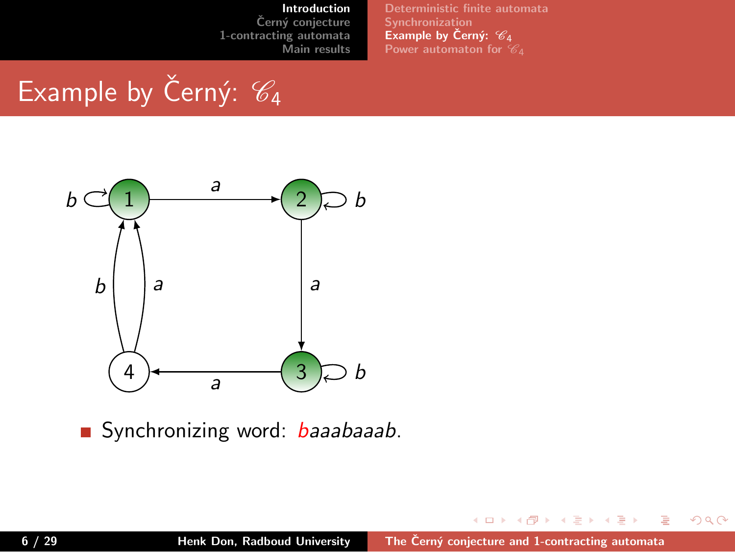**Deterministic finite automata Synchronization Example by Cern´y: ˇ** *C*<sup>4</sup> **Power automaton for** *C*4

Example by Černý:  $\mathcal{C}_4$ 

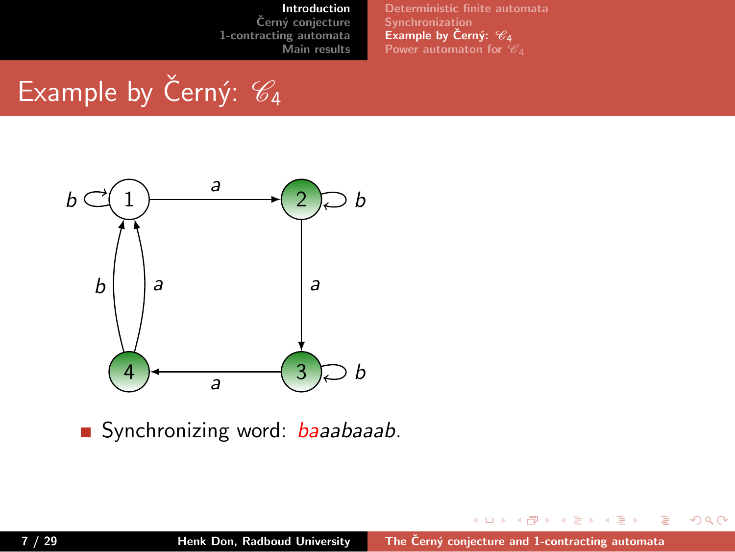**Deterministic finite automata Synchronization Example by Cern´y: ˇ** *C*<sup>4</sup> **Power automaton for** *C*4

Example by Černý:  $\mathcal{C}_4$ 

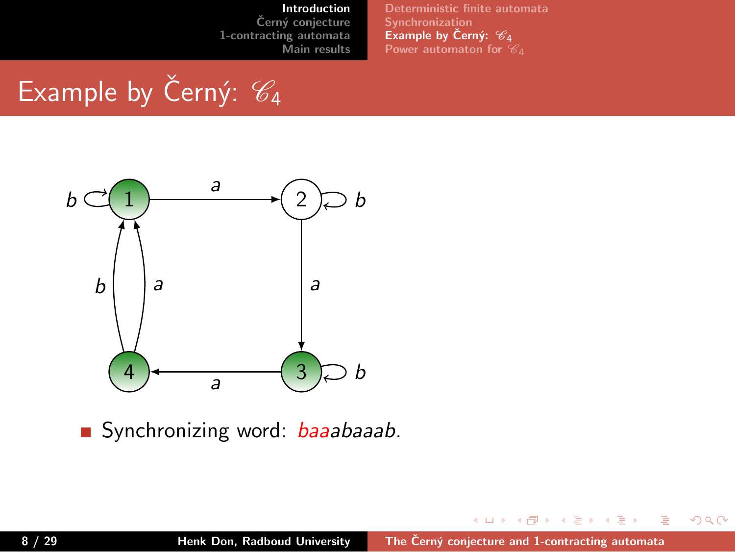**Deterministic finite automata Synchronization Example by Cern´y: ˇ** *C*<sup>4</sup> **Power automaton for** *C*4

Example by Černý:  $\mathcal{C}_4$ 

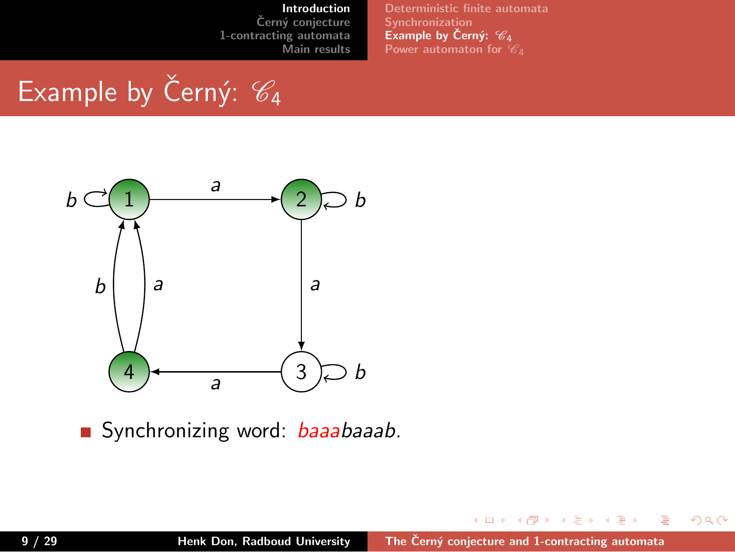**Deterministic finite automata Synchronization Example by Cern´y: ˇ** *C*<sup>4</sup> **Power automaton for** *C*4

Example by Černý:  $\mathcal{C}_4$ 

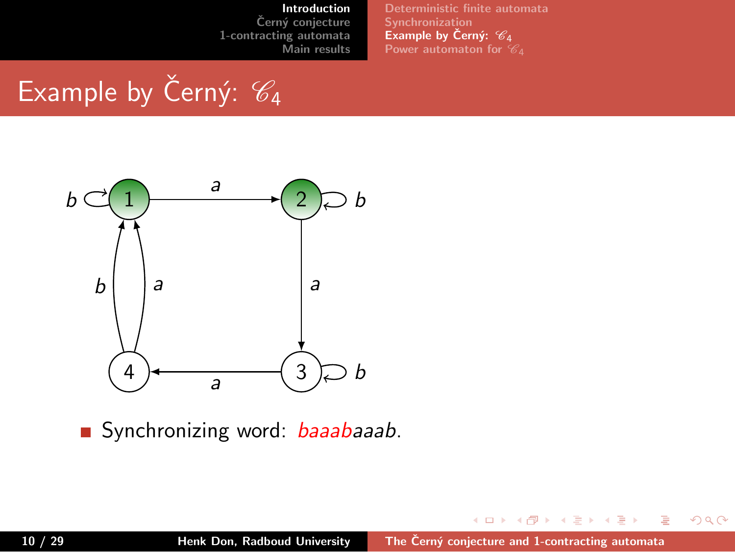**Deterministic finite automata Synchronization Example by Cern´y: ˇ** *C*<sup>4</sup> **Power automaton for** *C*4

Example by Černý:  $\mathcal{C}_4$ 

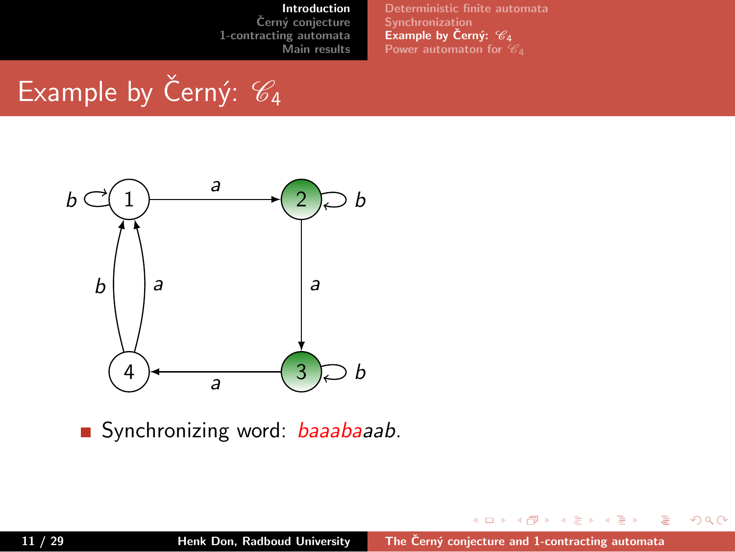**Deterministic finite automata Synchronization Example by Cern´y: ˇ** *C*<sup>4</sup> **Power automaton for** *C*4

Example by Černý:  $\mathcal{C}_4$ 

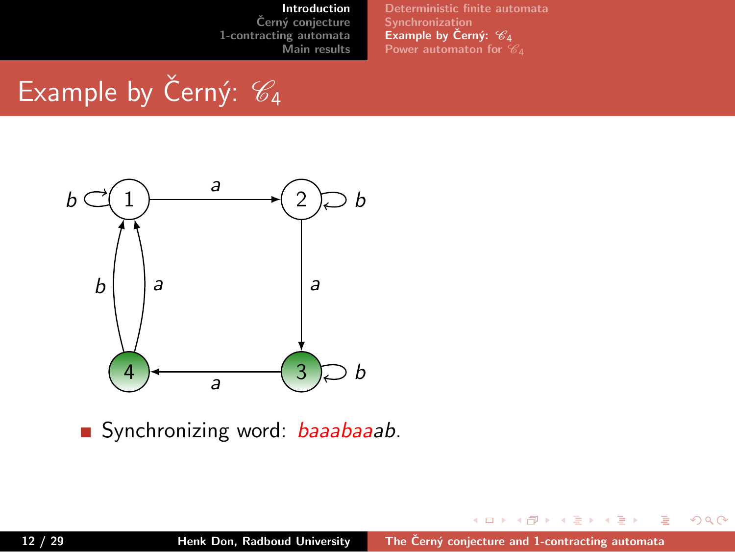**Deterministic finite automata Synchronization Example by Cern´y: ˇ** *C*<sup>4</sup> **Power automaton for** *C*4

Example by Černý:  $\mathcal{C}_4$ 

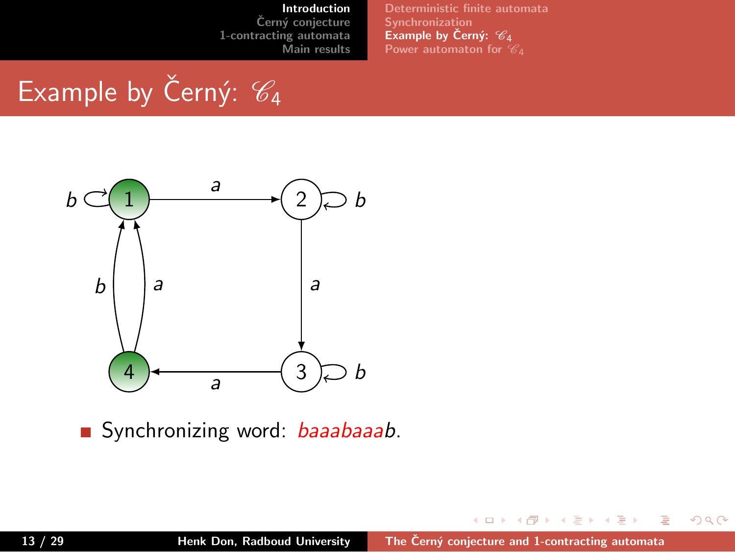**Deterministic finite automata Synchronization Example by Cern´y: ˇ** *C*<sup>4</sup> **Power automaton for** *C*4

Example by Černý:  $\mathcal{C}_4$ 

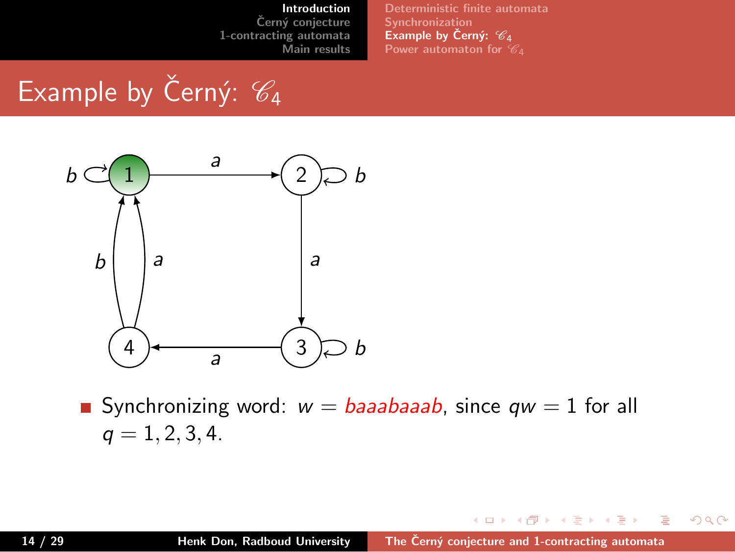**Synchronization Example by Cern´y: ˇ** *C*<sup>4</sup> **Power automaton for** *C*4

**Deterministic finite automata**

Example by Černý:  $\mathcal{C}_4$ 



Synchronizing word:  $w = baaabaaab$ , since  $qw = 1$  for all  $q = 1, 2, 3, 4.$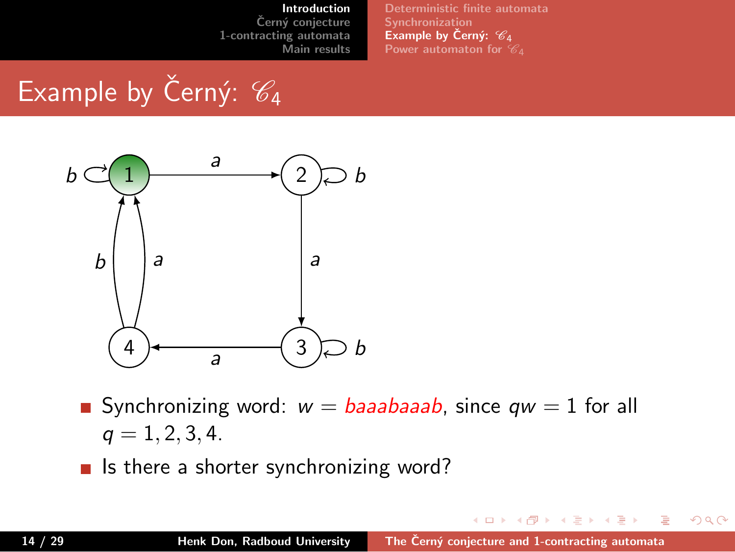**Deterministic finite automata Synchronization Example by Cern´y: ˇ** *C*<sup>4</sup> **Power automaton for** *C*4

Example by Černý:  $\mathcal{C}_4$ 



- Synchronizing word:  $w = baaabaaab$ , since  $qw = 1$  for all  $q = 1, 2, 3, 4.$
- $\blacksquare$  Is there a shorter synchronizing word?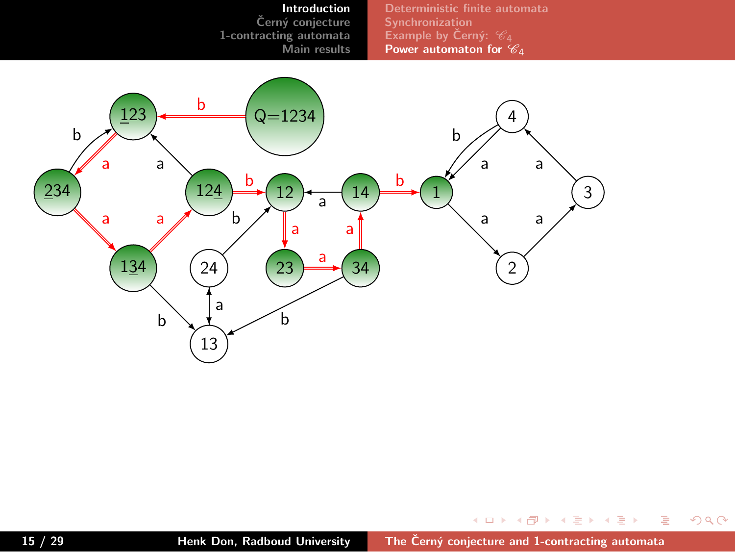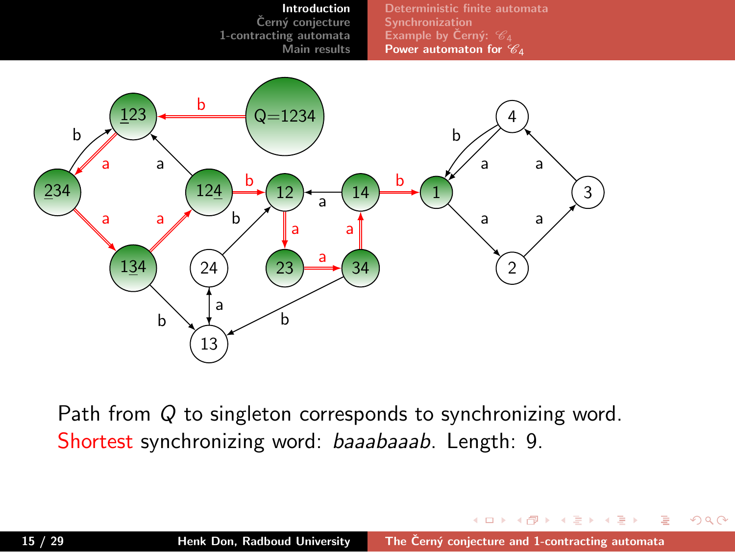

Path from *Q* to singleton corresponds to synchronizing word. Shortest synchronizing word: *baaabaaab*. Length: 9.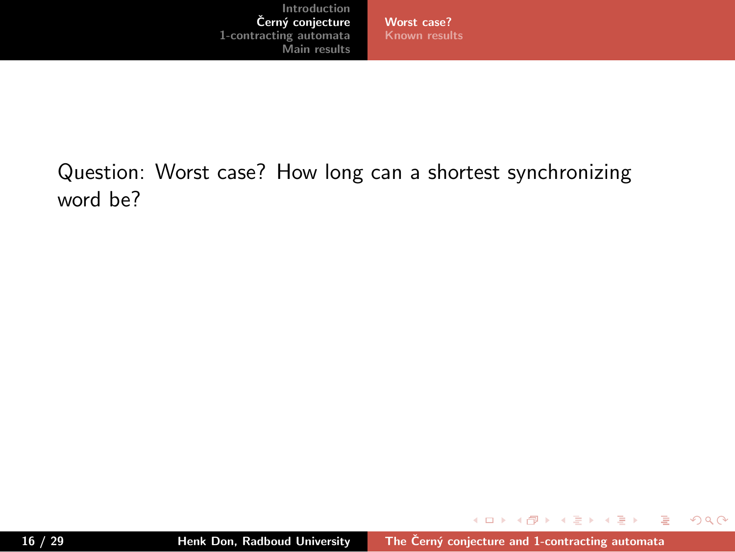**Worst case? Known results**

Question: Worst case? How long can a shortest synchronizing word be?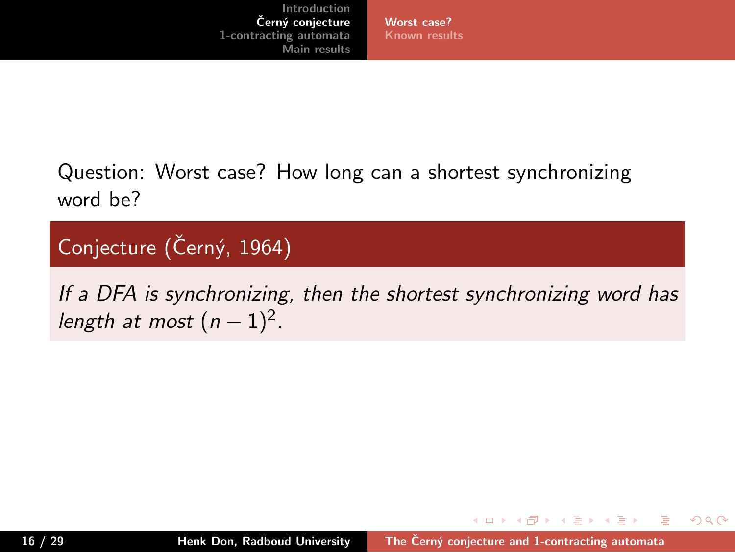**Worst case? Known results**

Question: Worst case? How long can a shortest synchronizing word be?

Conjecture (Černý, 1964)

*If a DFA is synchronizing, then the shortest synchronizing word has length at most*  $(n-1)^2$ *.* 

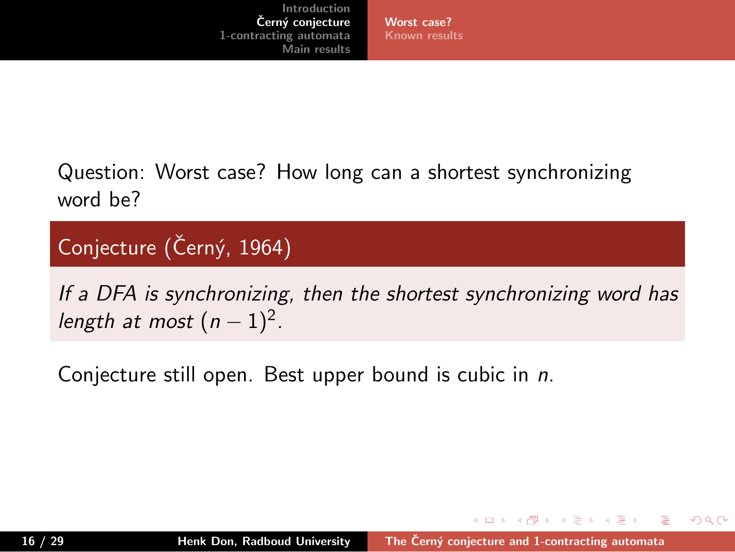**Worst case? Known results**

Question: Worst case? How long can a shortest synchronizing word be?

Conjecture (Černý, 1964)

*If a DFA is synchronizing, then the shortest synchronizing word has length at most*  $(n-1)^2$ *.* 

Conjecture still open. Best upper bound is cubic in *n*.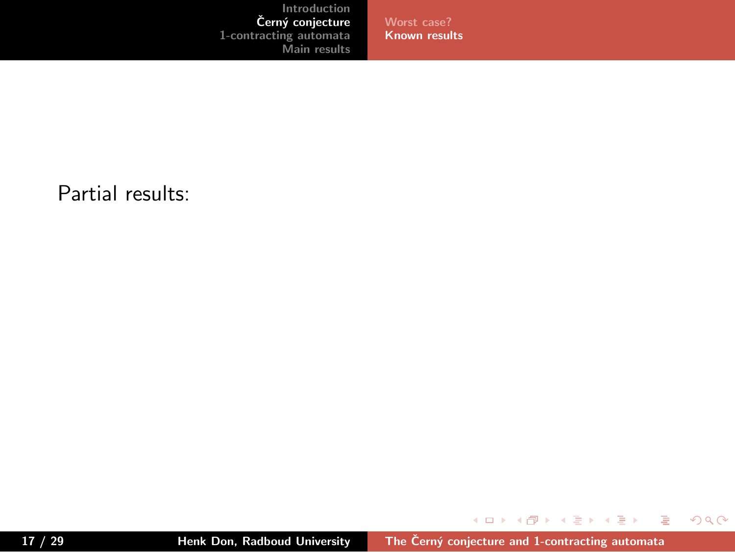**Worst case? Known results**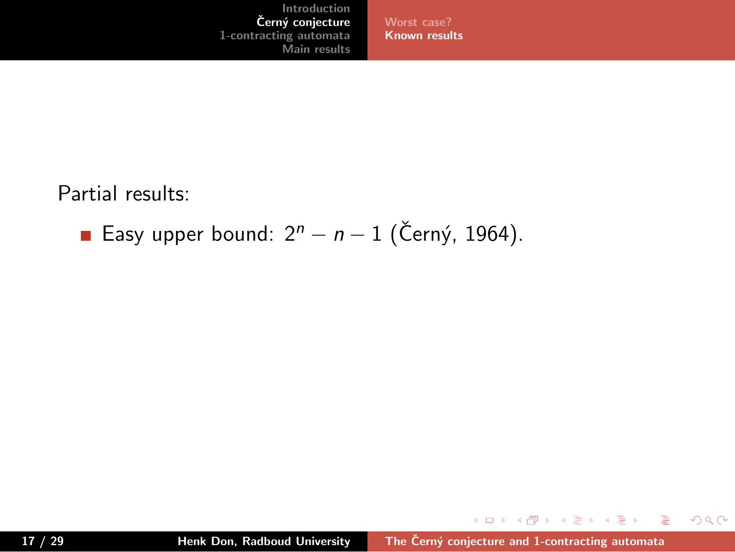

Partial results:

■ Easy upper bound:  $2^n - n - 1$  (Černý, 1964).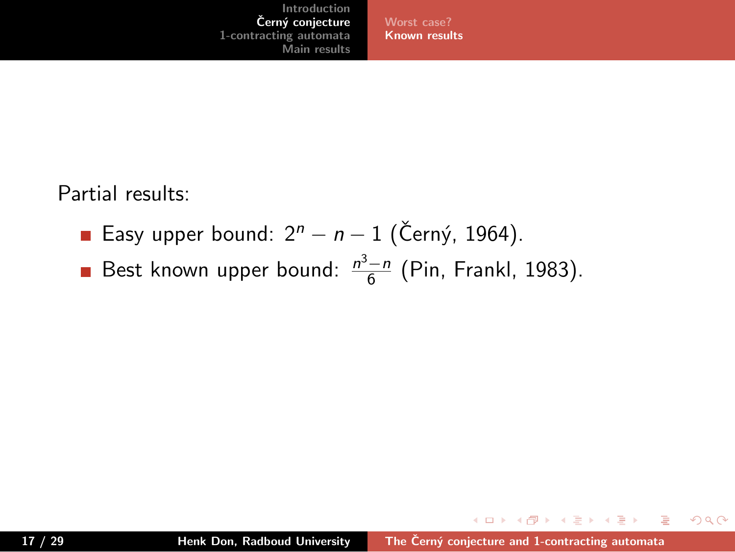**Worst case? Known results**

- Easy upper bound:  $2<sup>n</sup> − n − 1$  (Černý, 1964).
- Best known upper bound:  $\frac{n^3-n}{6}$  (Pin, Frankl, 1983).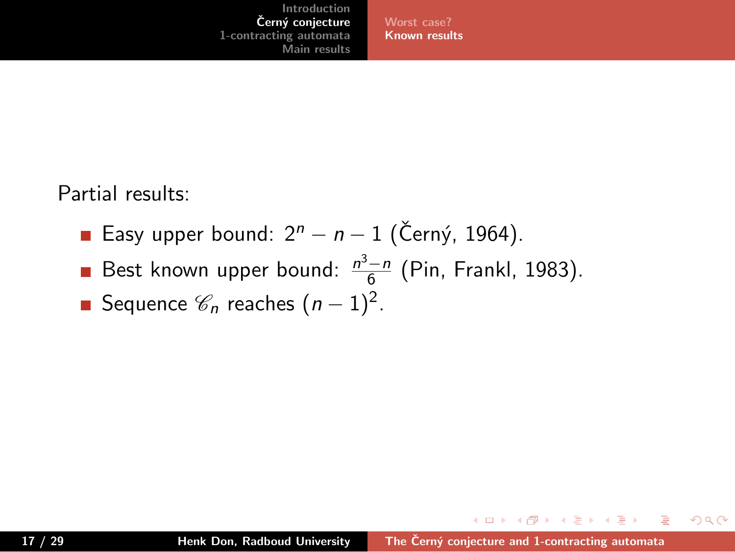**Worst case? Known results**

- Easy upper bound:  $2<sup>n</sup> − n − 1$  (Černý, 1964).
- Best known upper bound:  $\frac{n^3-n}{6}$  (Pin, Frankl, 1983).
- Sequence  $\mathscr{C}_n$  reaches  $(n-1)^2$ .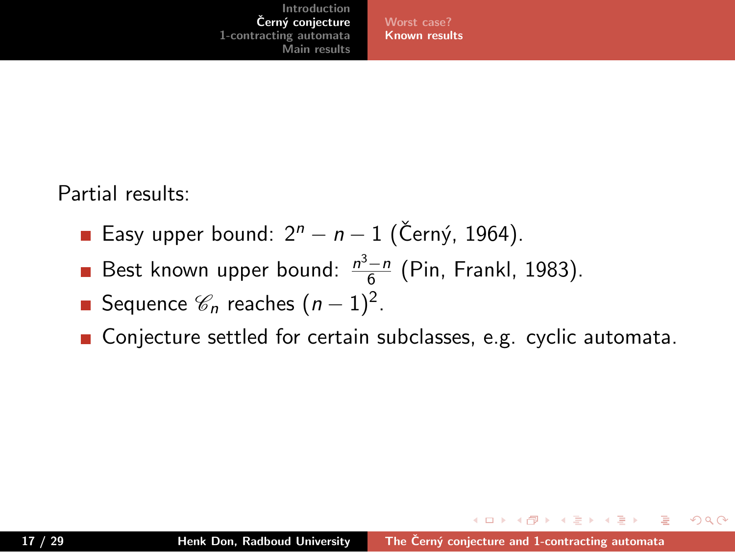**Worst case? Known results**

- Easy upper bound:  $2<sup>n</sup> − n − 1$  (Černý, 1964).
- Best known upper bound:  $\frac{n^3-n}{6}$  (Pin, Frankl, 1983).
- Sequence  $\mathscr{C}_n$  reaches  $(n-1)^2$ .
- Conjecture settled for certain subclasses, e.g. cyclic automata.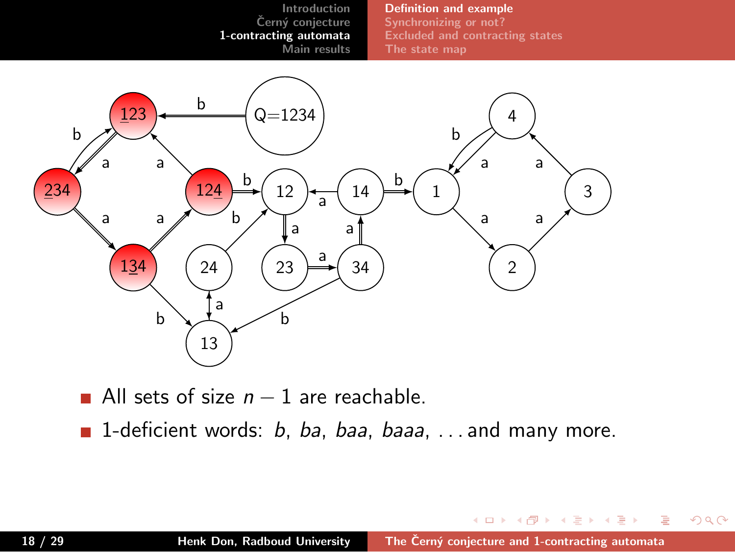

■ All sets of size *n* − 1 are reachable.

. 13

1-deficient words: *b*, *ba*, *baa*, *baaa*, . . . and many more.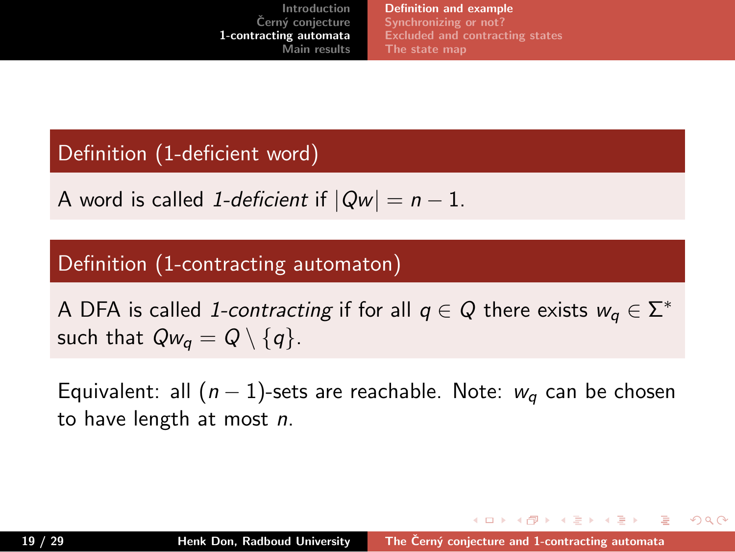**Introduction Cern´y conjecture ˇ 1-contracting automata Main result Definition and example Synchronizing or not? Excluded and contracting states**

Definition (1-deficient word)

A word is called *1-deficient* if  $|Qw| = n - 1$ .

Definition (1-contracting automaton)

A DFA is called *1-contracting* if for all  $q \in Q$  there exists  $w_q \in \Sigma^*$ such that  $Qw_q = Q \setminus \{q\}$ .

Equivalent: all (*n −* 1)-sets are reachable. Note: *w<sup>q</sup>* can be chosen to have length at most *n*.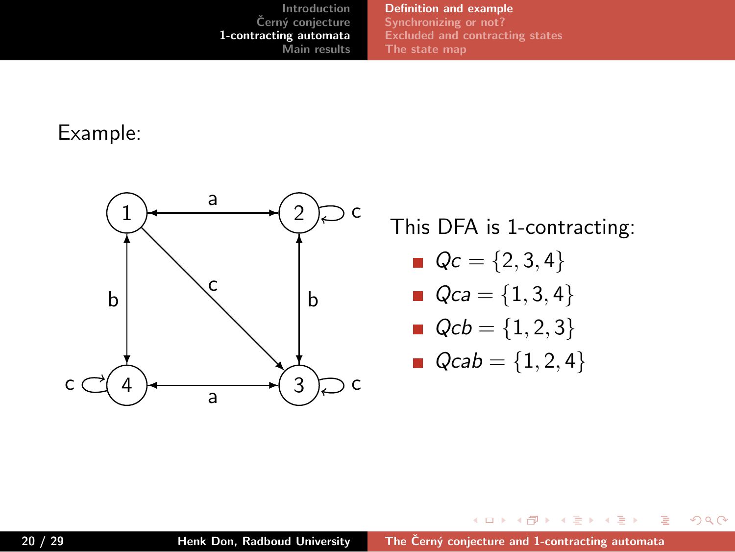**Definition and example Synchronizing or not? Excluded and contracting states**

Example:

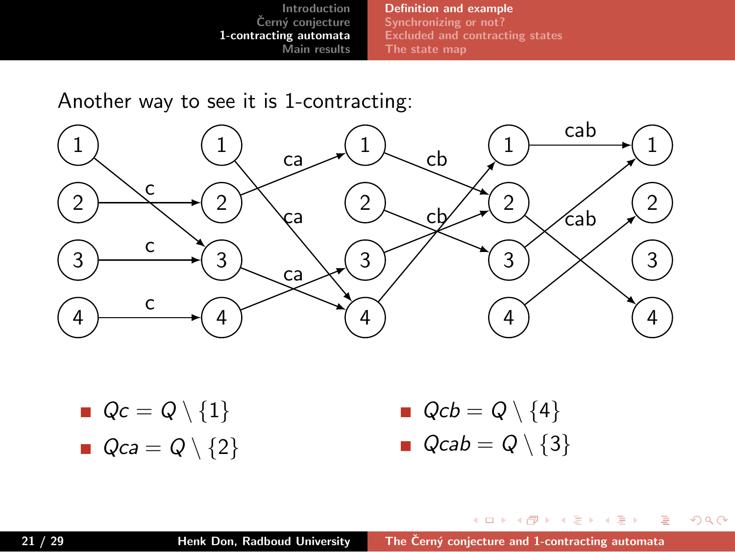**Definition and example Synchronizing or not? Excluded and contracting states The state map**

## Another way to see it is 1-contracting:

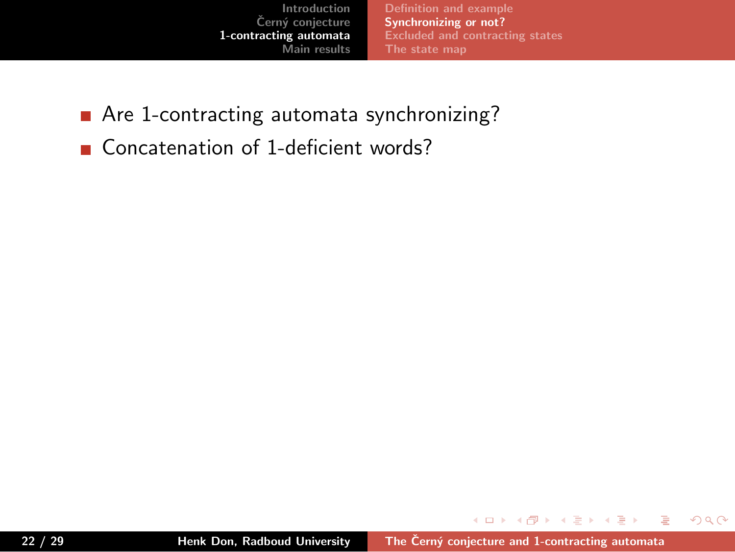

- Are 1-contracting automata synchronizing?
- Concatenation of 1-deficient words?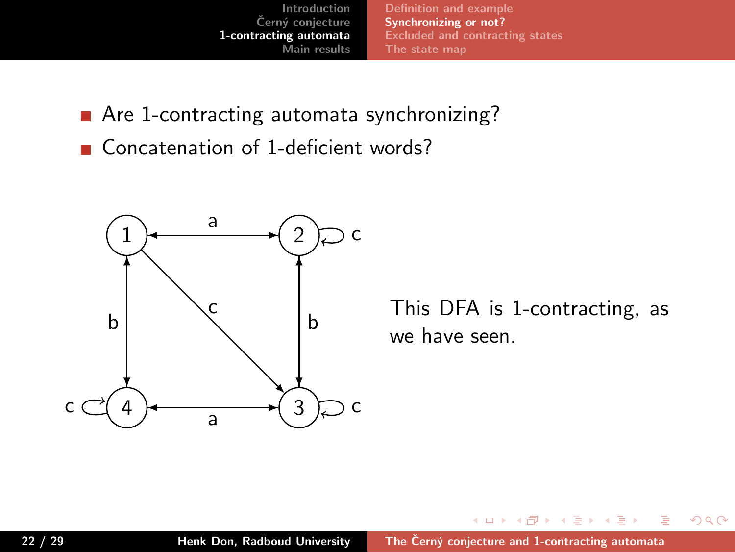**Introduction Cern´y conjecture ˇ 1-contracting automata Main results Definition and example Synchronizing or not?**

- Are 1-contracting automata synchronizing?
- Concatenation of 1-deficient words?

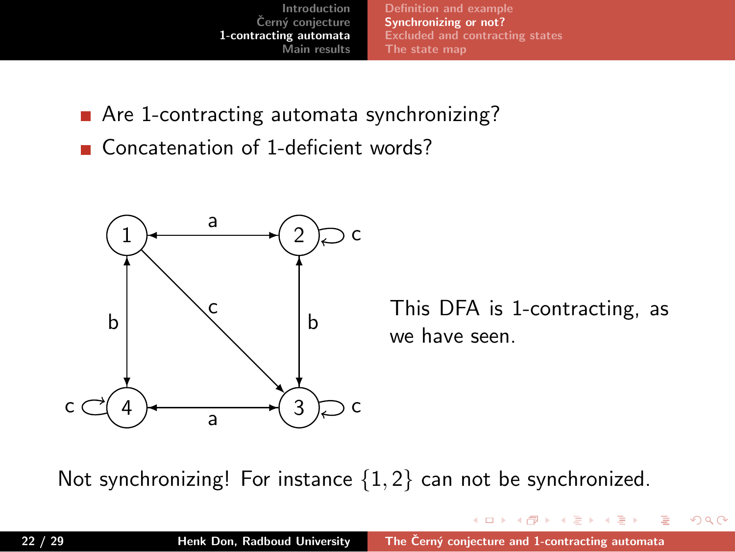**Introduction Cern´y conjecture ˇ 1-contracting automata Main results Definition and example Synchronizing or not? Excluded and contracting states**

- Are 1-contracting automata synchronizing?
- Concatenation of 1-deficient words?



Not synchronizing! For instance *{*1*,* 2*}* can not be synchronized.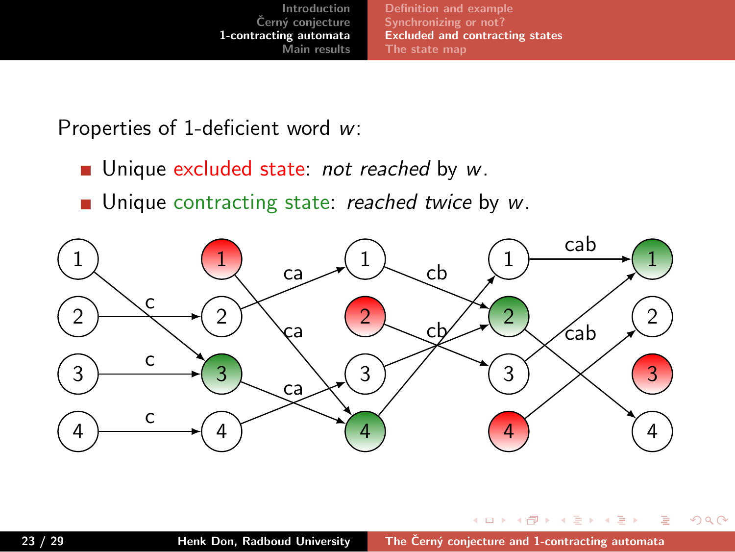**Definition and example Synchronizing or not? Excluded and contracting states The state map**

Properties of 1-deficient word *w*:

- Unique excluded state: *not reached* by *w*.
- Unique contracting state: *reached twice* by *w*.

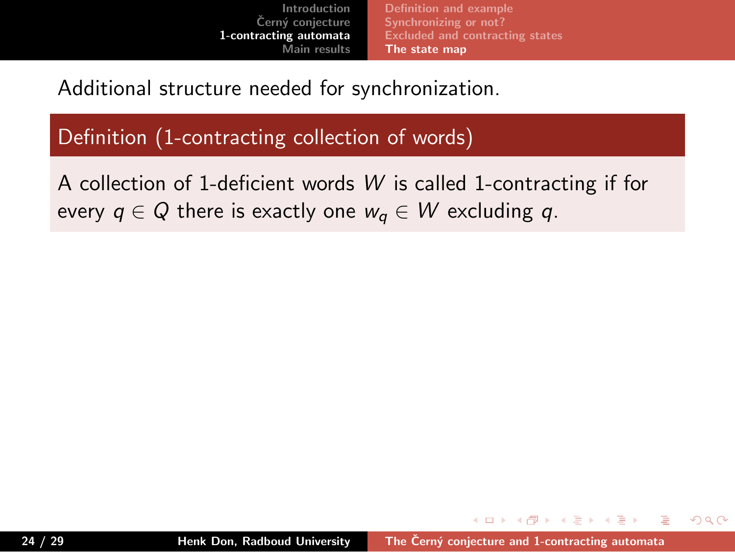

Additional structure needed for synchronization.

Definition (1-contracting collection of words)

A collection of 1-deficient words *W* is called 1-contracting if for every  $q \in Q$  there is exactly one  $w_q \in W$  excluding  $q$ .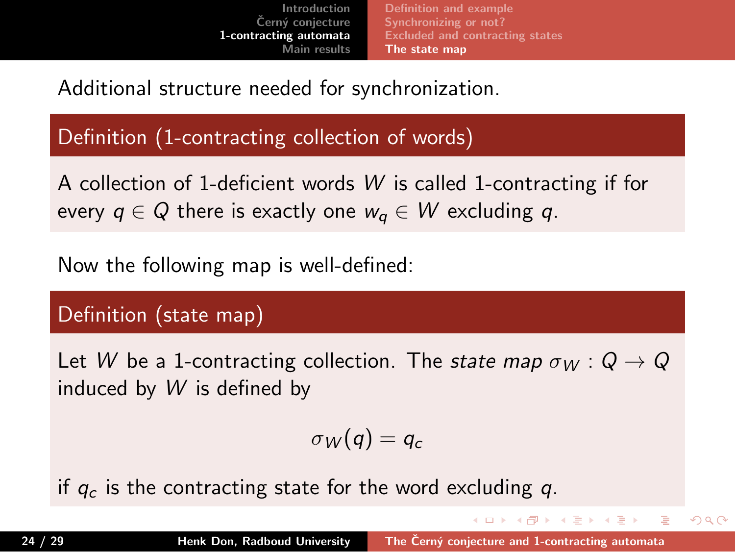#### **Introduction Cern´y conjecture ˇ 1-contracting automata Main results Definition and example Synchronizing or not? Contracting states The state map**

Additional structure needed for synchronization.

### Definition (1-contracting collection of words)

A collection of 1-deficient words *W* is called 1-contracting if for every  $q \in Q$  there is exactly one  $w_q \in W$  excluding  $q$ .

Now the following map is well-defined:

### Definition (state map)

Let *W* be a 1-contracting collection. The *state map*  $\sigma_W$  :  $Q \rightarrow Q$ induced by *W* is defined by

$$
\sigma_W(q)=q_c
$$

if *q<sup>c</sup>* is the contracting state for the word excluding *q*.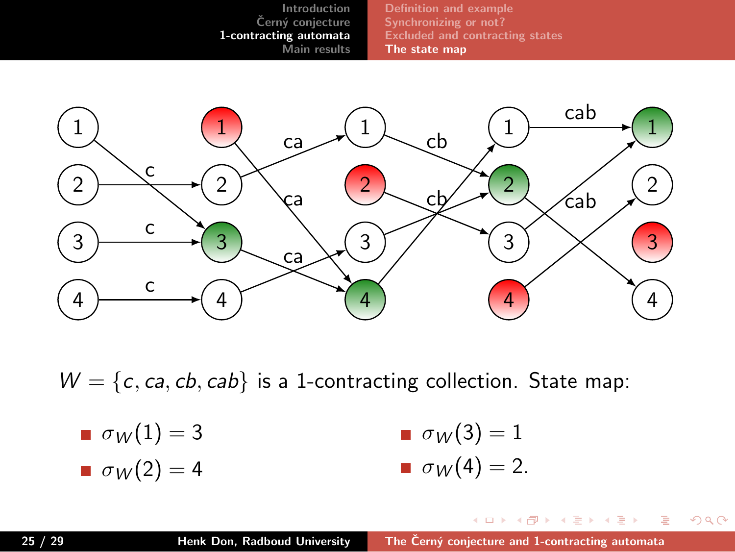



 $W = \{c, ca, cb, cab\}$  is a 1-contracting collection. State map:

 $\sigma_W(1) = 3$  $\sigma_W(2) = 4$  $\sigma_W(3) = 1$  $\sigma_W(4) = 2$ .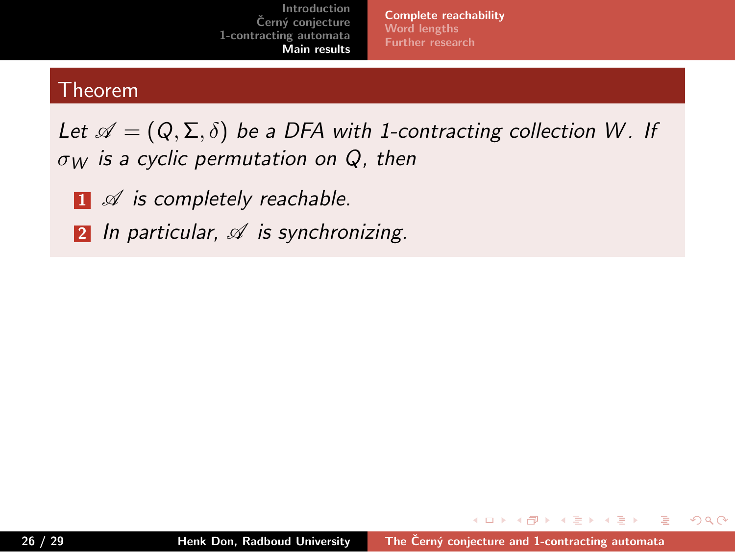**Complete reachability Word lengths Further research**

## Theorem

- **<sup>1</sup>** *A is completely reachable.*
- **<sup>2</sup>** *In particular, A is synchronizing.*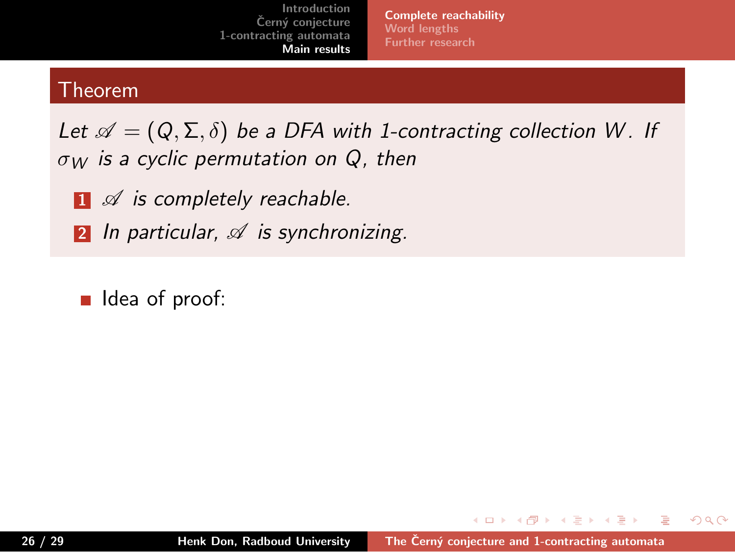**Complete reachability Word lengths Further research**

## Theorem

- **<sup>1</sup>** *A is completely reachable.*
- **<sup>2</sup>** *In particular, A is synchronizing.*
- I Idea of proof: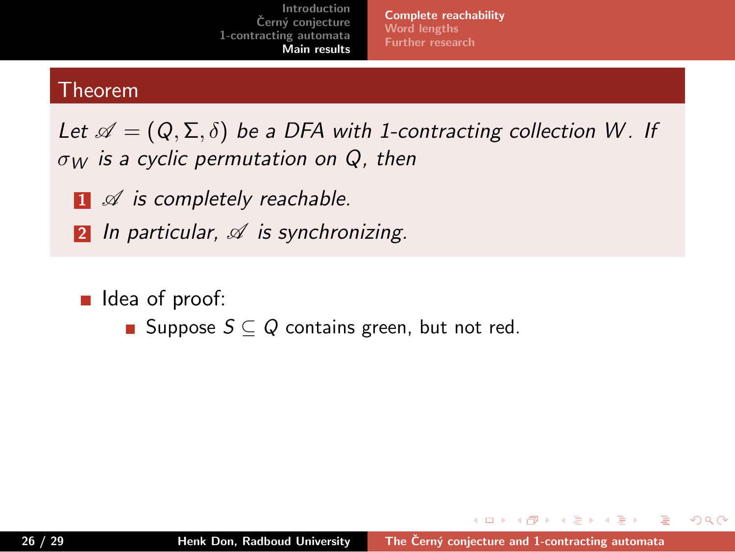**Complete reachability Word lengths Further research**

## Theorem

- **<sup>1</sup>** *A is completely reachable.*
- **<sup>2</sup>** *In particular, A is synchronizing.*
- I Idea of proof:
	- Suppose  $S \subseteq Q$  contains green, but not red.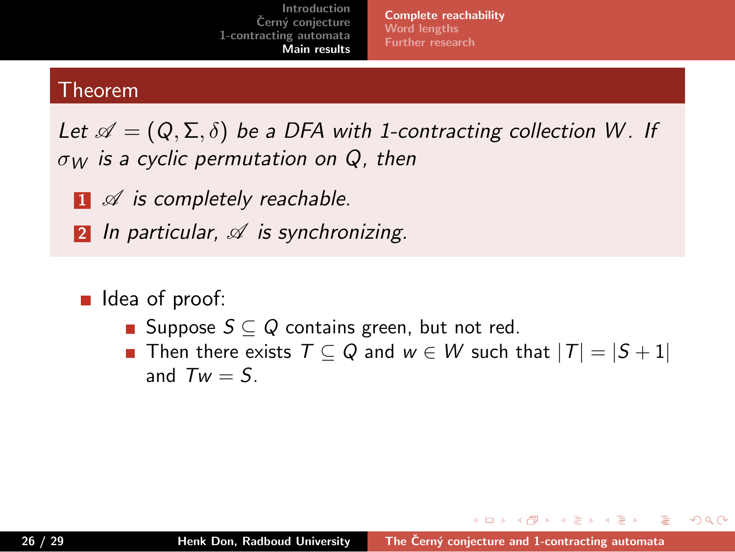**Complete reachability Word lengths Further research**

### Theorem

- **<sup>1</sup>** *A is completely reachable.*
- **<sup>2</sup>** *In particular, A is synchronizing.*
- I Idea of proof:
	- Suppose  $S \subseteq Q$  contains green, but not red.
	- Then there exists  $T \subseteq Q$  and  $w \in W$  such that  $|T| = |S + 1|$ and  $Tw = S$ .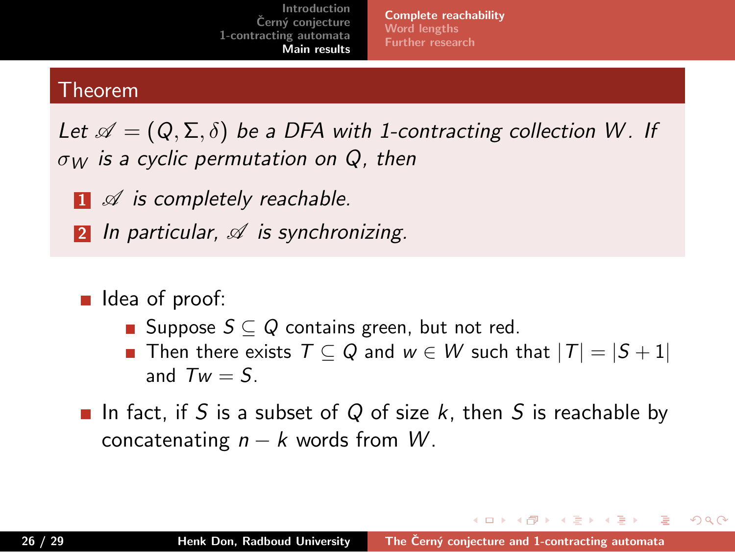**Complete reachability Word lengths Further research**

### Theorem

- **<sup>1</sup>** *A is completely reachable.*
- **<sup>2</sup>** *In particular, A is synchronizing.*
- I Idea of proof:
	- Suppose  $S \subseteq Q$  contains green, but not red.
	- Then there exists  $T \subseteq Q$  and  $w \in W$  such that  $|T| = |S + 1|$ and  $Tw = S$ .
- In fact, if *S* is a subset of *Q* of size *k*, then *S* is reachable by concatenating  $n - k$  words from  $W$ .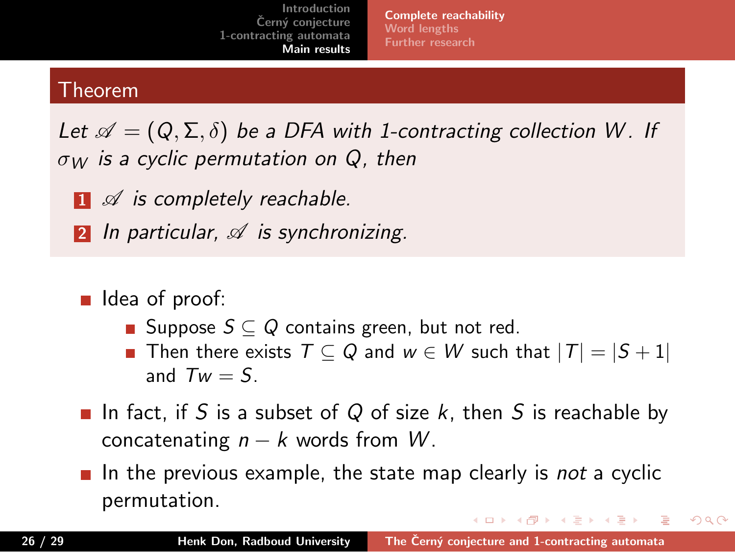**Complete reachability Word lengths Further research**

### Theorem

- **<sup>1</sup>** *A is completely reachable.*
- **<sup>2</sup>** *In particular, A is synchronizing.*
- I Idea of proof:
	- Suppose  $S \subseteq Q$  contains green, but not red.
	- Then there exists  $T \subseteq Q$  and  $w \in W$  such that  $|T| = |S + 1|$ and  $Tw = S$ .
- In fact, if *S* is a subset of *Q* of size *k*, then *S* is reachable by concatenating  $n - k$  words from  $W$ .
- In the previous example, the state map clearly is *not* a cyclic permutation.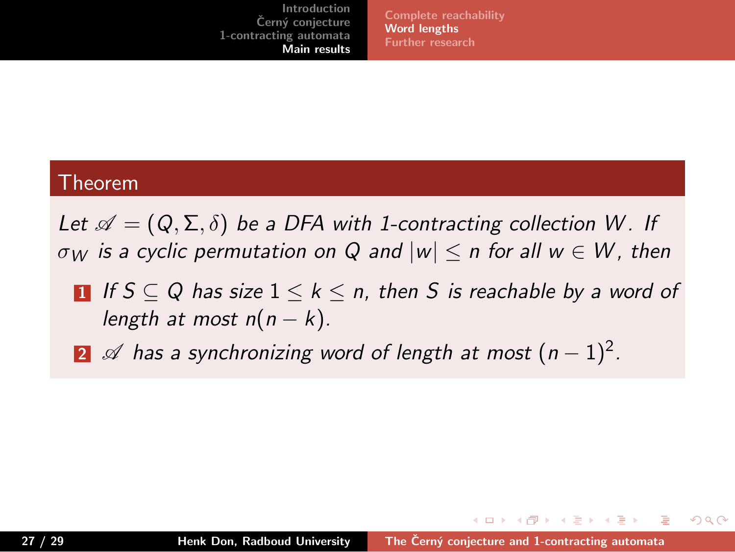**Complete reachability Word lengths Further research**

### Theorem

*Let*  $\mathscr{A} = (Q, \Sigma, \delta)$  *be a DFA with 1-contracting collection W. If σ<sup>W</sup> is a cyclic permutation on Q and |w| ≤ n for all w ∈ W , then*

- **1** *If S ⊆ Q has size* 1 *≤ k ≤ n, then S is reachable by a word of length at most n*(*n − k*)*.*
- **<sup>2</sup>** *A has a synchronizing word of length at most* (*n −* 1)<sup>2</sup> *.*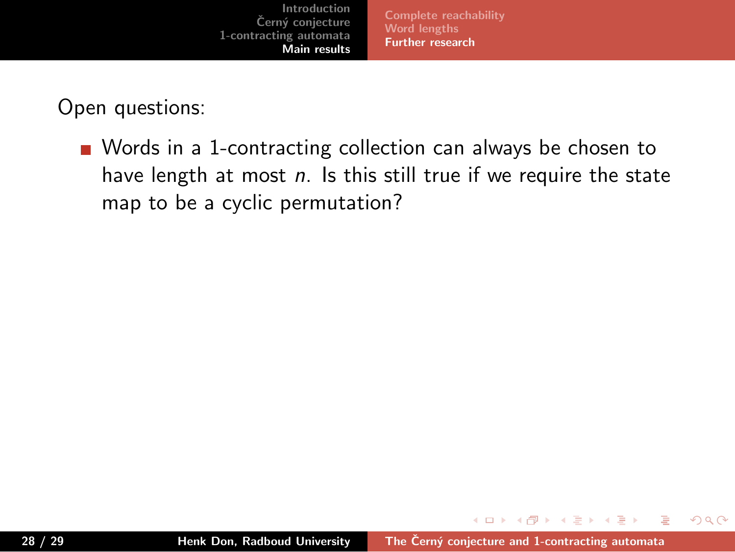

Open questions:

Words in a 1-contracting collection can always be chosen to have length at most *n*. Is this still true if we require the state map to be a cyclic permutation?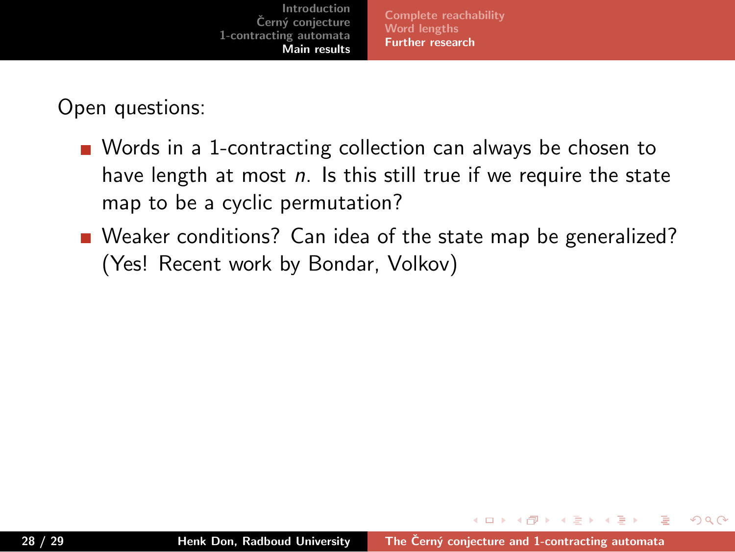

Open questions:

- Words in a 1-contracting collection can always be chosen to have length at most *n*. Is this still true if we require the state map to be a cyclic permutation?
- Weaker conditions? Can idea of the state map be generalized? (Yes! Recent work by Bondar, Volkov)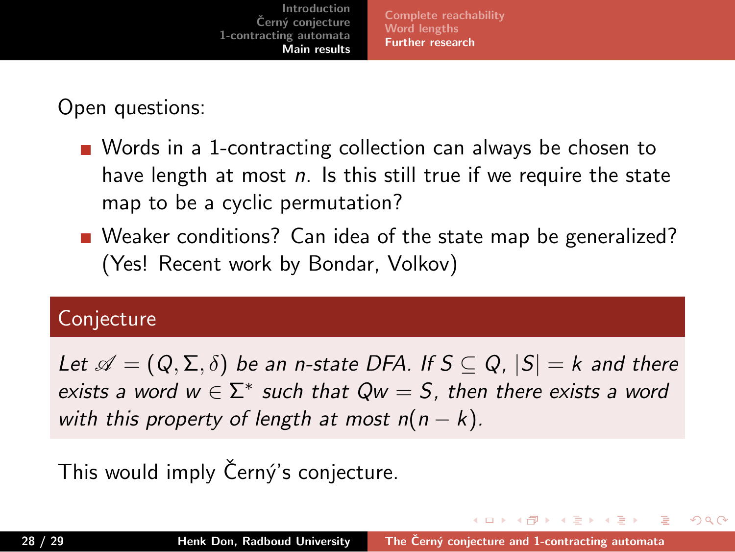Open questions:

Words in a 1-contracting collection can always be chosen to have length at most *n*. Is this still true if we require the state map to be a cyclic permutation?

**Complete reachability Word lengths Further research**

Weaker conditions? Can idea of the state map be generalized? (Yes! Recent work by Bondar, Volkov)

### Conjecture

*Let*  $\mathscr{A} = (Q, \Sigma, \delta)$  *be an n-state DFA. If*  $S \subseteq Q$ ,  $|S| = k$  *and there exists a word w*  $\in \Sigma^*$  *such that Qw* = *S*, then there exists a word *with this property of length at most*  $n(n - k)$ *.* 

. . . . . .

This would imply Černý's conjecture.